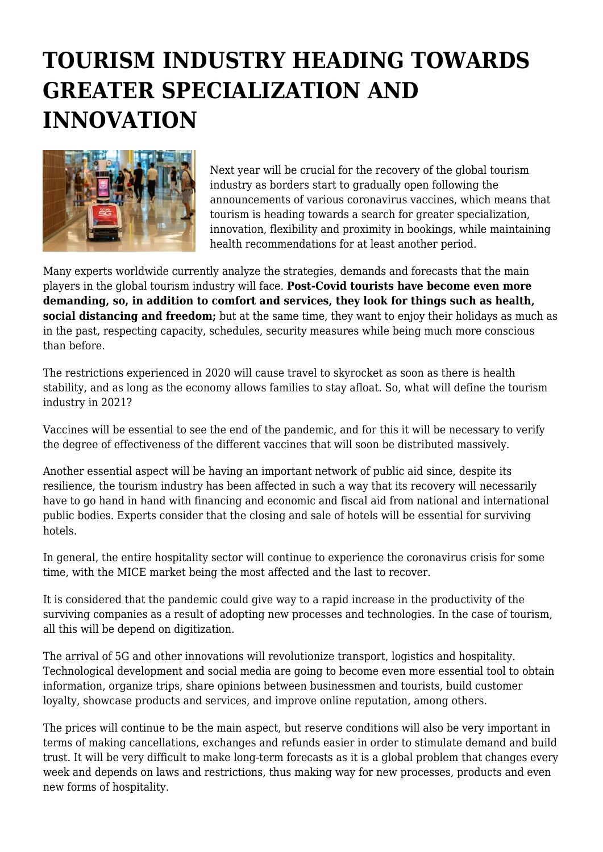## **TOURISM INDUSTRY HEADING TOWARDS GREATER SPECIALIZATION AND INNOVATION**



Next year will be crucial for the recovery of the global tourism industry as borders start to gradually open following the announcements of various coronavirus vaccines, which means that tourism is heading towards a search for greater specialization, innovation, flexibility and proximity in bookings, while maintaining health recommendations for at least another period.

Many experts worldwide currently analyze the strategies, demands and forecasts that the main players in the global tourism industry will face. **Post-Covid tourists have become even more demanding, so, in addition to comfort and services, they look for things such as health, social distancing and freedom;** but at the same time, they want to enjoy their holidays as much as in the past, respecting capacity, schedules, security measures while being much more conscious than before.

The restrictions experienced in 2020 will cause travel to skyrocket as soon as there is health stability, and as long as the economy allows families to stay afloat. So, what will define the tourism industry in 2021?

Vaccines will be essential to see the end of the pandemic, and for this it will be necessary to verify the degree of effectiveness of the different vaccines that will soon be distributed massively.

Another essential aspect will be having an important network of public aid since, despite its resilience, the tourism industry has been affected in such a way that its recovery will necessarily have to go hand in hand with financing and economic and fiscal aid from national and international public bodies. Experts consider that the closing and sale of hotels will be essential for surviving hotels.

In general, the entire hospitality sector will continue to experience the coronavirus crisis for some time, with the MICE market being the most affected and the last to recover.

It is considered that the pandemic could give way to a rapid increase in the productivity of the surviving companies as a result of adopting new processes and technologies. In the case of tourism, all this will be depend on digitization.

The arrival of 5G and other innovations will revolutionize transport, logistics and hospitality. Technological development and social media are going to become even more essential tool to obtain information, organize trips, share opinions between businessmen and tourists, build customer loyalty, showcase products and services, and improve online reputation, among others.

The prices will continue to be the main aspect, but reserve conditions will also be very important in terms of making cancellations, exchanges and refunds easier in order to stimulate demand and build trust. It will be very difficult to make long-term forecasts as it is a global problem that changes every week and depends on laws and restrictions, thus making way for new processes, products and even new forms of hospitality.